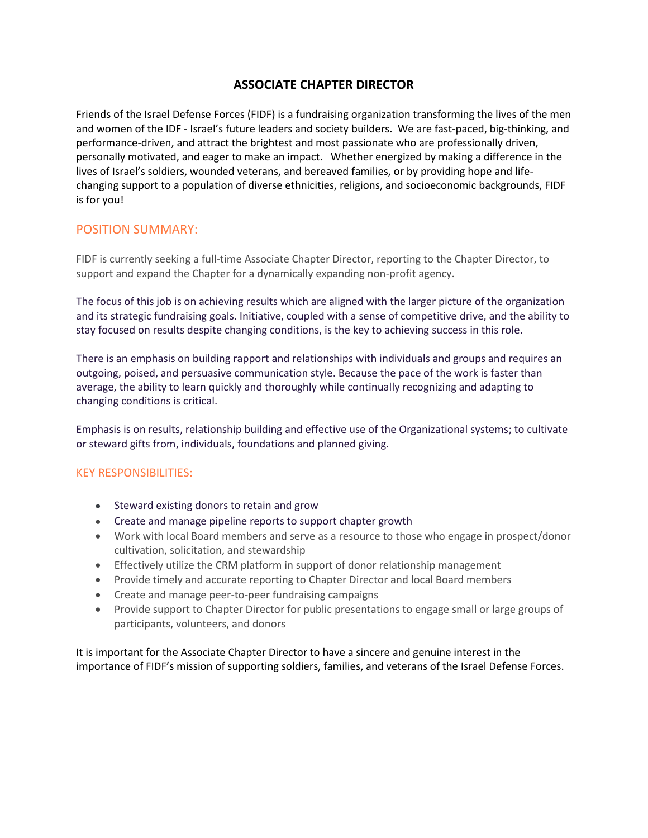# **ASSOCIATE CHAPTER DIRECTOR**

Friends of the Israel Defense Forces (FIDF) is a fundraising organization transforming the lives of the men and women of the IDF - Israel's future leaders and society builders. We are fast-paced, big-thinking, and performance-driven, and attract the brightest and most passionate who are professionally driven, personally motivated, and eager to make an impact. Whether energized by making a difference in the lives of Israel's soldiers, wounded veterans, and bereaved families, or by providing hope and lifechanging support to a population of diverse ethnicities, religions, and socioeconomic backgrounds, FIDF is for you!

### POSITION SUMMARY:

FIDF is currently seeking a full-time Associate Chapter Director, reporting to the Chapter Director, to support and expand the Chapter for a dynamically expanding non-profit agency.

The focus of this job is on achieving results which are aligned with the larger picture of the organization and its strategic fundraising goals. Initiative, coupled with a sense of competitive drive, and the ability to stay focused on results despite changing conditions, is the key to achieving success in this role.

There is an emphasis on building rapport and relationships with individuals and groups and requires an outgoing, poised, and persuasive communication style. Because the pace of the work is faster than average, the ability to learn quickly and thoroughly while continually recognizing and adapting to changing conditions is critical.

Emphasis is on results, relationship building and effective use of the Organizational systems; to cultivate or steward gifts from, individuals, foundations and planned giving.

#### KEY RESPONSIBILITIES:

- Steward existing donors to retain and grow
- Create and manage pipeline reports to support chapter growth
- Work with local Board members and serve as a resource to those who engage in prospect/donor cultivation, solicitation, and stewardship
- Effectively utilize the CRM platform in support of donor relationship management
- Provide timely and accurate reporting to Chapter Director and local Board members
- Create and manage peer-to-peer fundraising campaigns
- Provide support to Chapter Director for public presentations to engage small or large groups of participants, volunteers, and donors

It is important for the Associate Chapter Director to have a sincere and genuine interest in the importance of FIDF's mission of supporting soldiers, families, and veterans of the Israel Defense Forces.